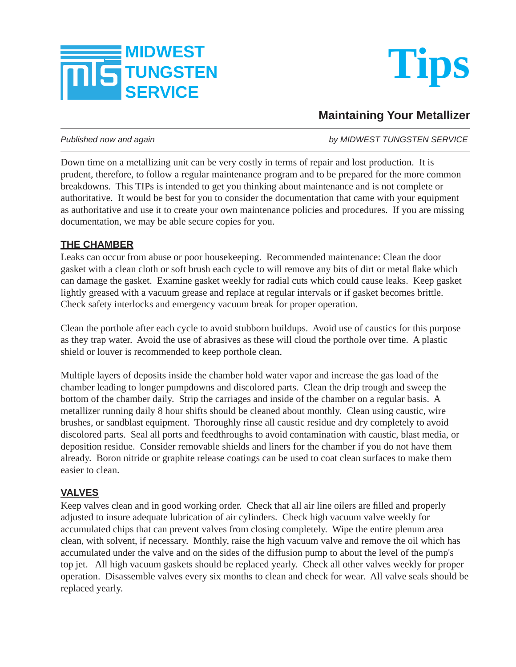



# **Maintaining Your Metallizer**

*Published now and again by MIDWEST TUNGSTEN SERVICE*

Down time on a metallizing unit can be very costly in terms of repair and lost production. It is prudent, therefore, to follow a regular maintenance program and to be prepared for the more common breakdowns. This TIPs is intended to get you thinking about maintenance and is not complete or authoritative. It would be best for you to consider the documentation that came with your equipment as authoritative and use it to create your own maintenance policies and procedures. If you are missing documentation, we may be able secure copies for you.

#### **THE CHAMBER**

Leaks can occur from abuse or poor housekeeping. Recommended maintenance: Clean the door gasket with a clean cloth or soft brush each cycle to will remove any bits of dirt or metal flake which can damage the gasket. Examine gasket weekly for radial cuts which could cause leaks. Keep gasket lightly greased with a vacuum grease and replace at regular intervals or if gasket becomes brittle. Check safety interlocks and emergency vacuum break for proper operation.

Clean the porthole after each cycle to avoid stubborn buildups. Avoid use of caustics for this purpose as they trap water. Avoid the use of abrasives as these will cloud the porthole over time. A plastic shield or louver is recommended to keep porthole clean.

Multiple layers of deposits inside the chamber hold water vapor and increase the gas load of the chamber leading to longer pumpdowns and discolored parts. Clean the drip trough and sweep the bottom of the chamber daily. Strip the carriages and inside of the chamber on a regular basis. A metallizer running daily 8 hour shifts should be cleaned about monthly. Clean using caustic, wire brushes, or sandblast equipment. Thoroughly rinse all caustic residue and dry completely to avoid discolored parts. Seal all ports and feedthroughs to avoid contamination with caustic, blast media, or deposition residue. Consider removable shields and liners for the chamber if you do not have them already. Boron nitride or graphite release coatings can be used to coat clean surfaces to make them easier to clean.

# **VALVES**

Keep valves clean and in good working order. Check that all air line oilers are filled and properly adjusted to insure adequate lubrication of air cylinders. Check high vacuum valve weekly for accumulated chips that can prevent valves from closing completely. Wipe the entire plenum area clean, with solvent, if necessary. Monthly, raise the high vacuum valve and remove the oil which has accumulated under the valve and on the sides of the diffusion pump to about the level of the pump's top jet. All high vacuum gaskets should be replaced yearly. Check all other valves weekly for proper operation. Disassemble valves every six months to clean and check for wear. All valve seals should be replaced yearly.